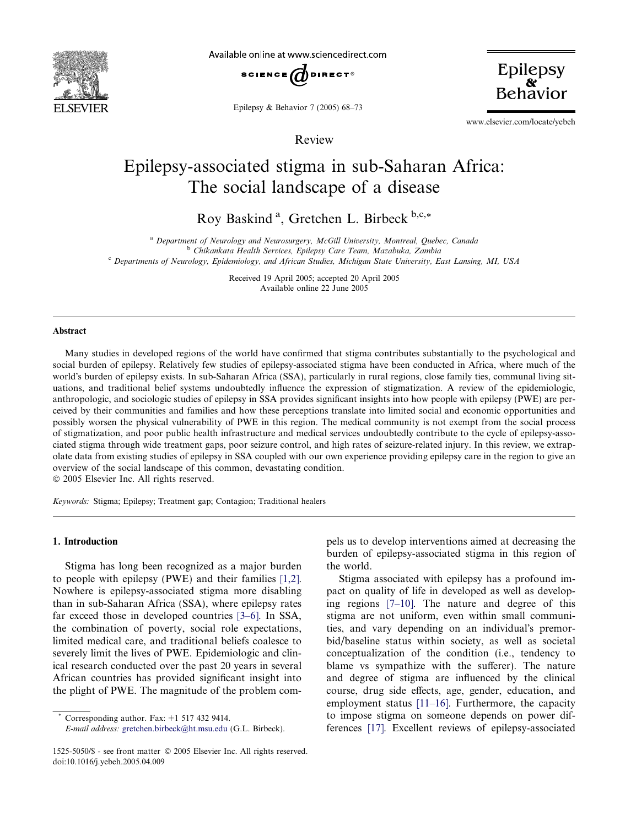

Available online at www.sciencedirect.com



Epilepsy & Behavior 7 (2005) 68–73

Review

Epilepsy

www.elsevier.com/locate/yebeh

# Epilepsy-associated stigma in sub-Saharan Africa: The social landscape of a disease

Roy Baskind<sup>a</sup>, Gretchen L. Birbeck<sup>b,c,\*</sup>

<sup>a</sup> Department of Neurology and Neurosurgery, McGill University, Montreal, Quebec, Canada

<sup>b</sup> Chikankata Health Services, Epilepsy Care Team, Mazabuka, Zambia

<sup>c</sup> Departments of Neurology, Epidemiology, and African Studies, Michigan State University, East Lansing, MI, USA

Received 19 April 2005; accepted 20 April 2005 Available online 22 June 2005

#### Abstract

Many studies in developed regions of the world have confirmed that stigma contributes substantially to the psychological and social burden of epilepsy. Relatively few studies of epilepsy-associated stigma have been conducted in Africa, where much of the world's burden of epilepsy exists. In sub-Saharan Africa (SSA), particularly in rural regions, close family ties, communal living situations, and traditional belief systems undoubtedly influence the expression of stigmatization. A review of the epidemiologic, anthropologic, and sociologic studies of epilepsy in SSA provides significant insights into how people with epilepsy (PWE) are perceived by their communities and families and how these perceptions translate into limited social and economic opportunities and possibly worsen the physical vulnerability of PWE in this region. The medical community is not exempt from the social process of stigmatization, and poor public health infrastructure and medical services undoubtedly contribute to the cycle of epilepsy-associated stigma through wide treatment gaps, poor seizure control, and high rates of seizure-related injury. In this review, we extrapolate data from existing studies of epilepsy in SSA coupled with our own experience providing epilepsy care in the region to give an overview of the social landscape of this common, devastating condition.

2005 Elsevier Inc. All rights reserved.

Keywords: Stigma; Epilepsy; Treatment gap; Contagion; Traditional healers

#### 1. Introduction

Stigma has long been recognized as a major burden to people with epilepsy (PWE) and their families [\[1,2\]](#page-4-0). Nowhere is epilepsy-associated stigma more disabling than in sub-Saharan Africa (SSA), where epilepsy rates far exceed those in developed countries [\[3–6\]](#page-4-0). In SSA, the combination of poverty, social role expectations, limited medical care, and traditional beliefs coalesce to severely limit the lives of PWE. Epidemiologic and clinical research conducted over the past 20 years in several African countries has provided significant insight into the plight of PWE. The magnitude of the problem compels us to develop interventions aimed at decreasing the burden of epilepsy-associated stigma in this region of the world.

Stigma associated with epilepsy has a profound impact on quality of life in developed as well as developing regions [\[7–10\].](#page-4-0) The nature and degree of this stigma are not uniform, even within small communities, and vary depending on an individual's premorbid/baseline status within society, as well as societal conceptualization of the condition (i.e., tendency to blame vs sympathize with the sufferer). The nature and degree of stigma are influenced by the clinical course, drug side effects, age, gender, education, and employment status [\[11–16\].](#page-4-0) Furthermore, the capacity to impose stigma on someone depends on power differences [\[17\]](#page-4-0). Excellent reviews of epilepsy-associated

Corresponding author. Fax:  $+1$  517 432 9414.

E-mail address: [gretchen.birbeck@ht.msu.edu](mailto:gretchen.birbeck@ht.msu.edu) (G.L. Birbeck).

<sup>1525-5050/\$ -</sup> see front matter © 2005 Elsevier Inc. All rights reserved. doi:10.1016/j.yebeh.2005.04.009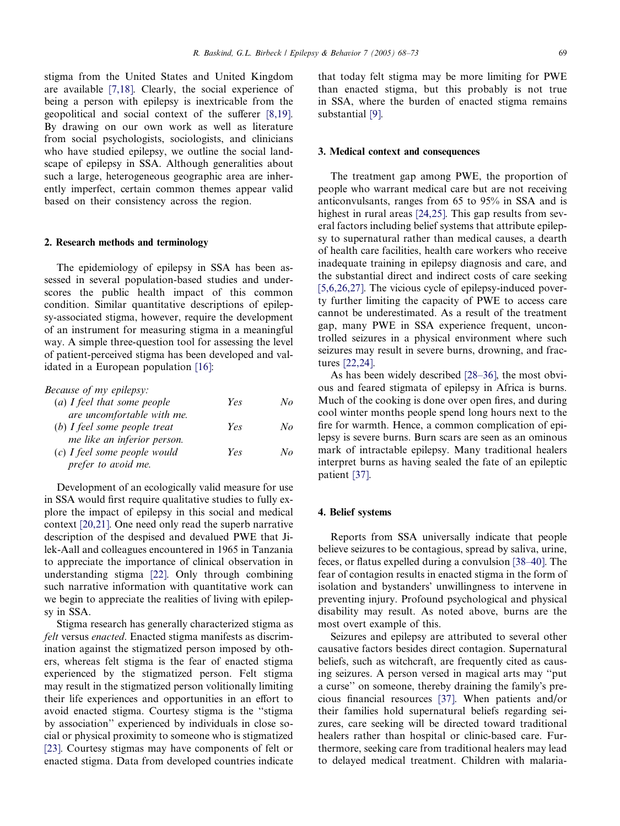stigma from the United States and United Kingdom are available [\[7,18\].](#page-4-0) Clearly, the social experience of being a person with epilepsy is inextricable from the geopolitical and social context of the sufferer [\[8,19\].](#page-4-0) By drawing on our own work as well as literature from social psychologists, sociologists, and clinicians who have studied epilepsy, we outline the social landscape of epilepsy in SSA. Although generalities about such a large, heterogeneous geographic area are inherently imperfect, certain common themes appear valid based on their consistency across the region.

#### 2. Research methods and terminology

The epidemiology of epilepsy in SSA has been assessed in several population-based studies and underscores the public health impact of this common condition. Similar quantitative descriptions of epilepsy-associated stigma, however, require the development of an instrument for measuring stigma in a meaningful way. A simple three-question tool for assessing the level of patient-perceived stigma has been developed and validated in a European population [\[16\]:](#page-4-0)

| <i>Because of my epilepsy:</i> |     |    |
|--------------------------------|-----|----|
| $(a)$ I feel that some people  | Yes | No |
| are uncomfortable with me.     |     |    |
| (b) I feel some people treat   | Yes | No |
| me like an inferior person.    |     |    |
| $(c)$ I feel some people would | Yes | No |
| prefer to avoid me.            |     |    |
|                                |     |    |

Development of an ecologically valid measure for use in SSA would first require qualitative studies to fully explore the impact of epilepsy in this social and medical context [\[20,21\].](#page-4-0) One need only read the superb narrative description of the despised and devalued PWE that Jilek-Aall and colleagues encountered in 1965 in Tanzania to appreciate the importance of clinical observation in understanding stigma [\[22\].](#page-4-0) Only through combining such narrative information with quantitative work can we begin to appreciate the realities of living with epilepsy in SSA.

Stigma research has generally characterized stigma as felt versus enacted. Enacted stigma manifests as discrimination against the stigmatized person imposed by others, whereas felt stigma is the fear of enacted stigma experienced by the stigmatized person. Felt stigma may result in the stigmatized person volitionally limiting their life experiences and opportunities in an effort to avoid enacted stigma. Courtesy stigma is the ''stigma by association'' experienced by individuals in close social or physical proximity to someone who is stigmatized [\[23\].](#page-4-0) Courtesy stigmas may have components of felt or enacted stigma. Data from developed countries indicate

that today felt stigma may be more limiting for PWE than enacted stigma, but this probably is not true in SSA, where the burden of enacted stigma remains substantial [\[9\]](#page-4-0).

## 3. Medical context and consequences

The treatment gap among PWE, the proportion of people who warrant medical care but are not receiving anticonvulsants, ranges from 65 to 95% in SSA and is highest in rural areas [\[24,25\]](#page-5-0). This gap results from several factors including belief systems that attribute epilepsy to supernatural rather than medical causes, a dearth of health care facilities, health care workers who receive inadequate training in epilepsy diagnosis and care, and the substantial direct and indirect costs of care seeking [\[5,6,26,27\]](#page-4-0). The vicious cycle of epilepsy-induced poverty further limiting the capacity of PWE to access care cannot be underestimated. As a result of the treatment gap, many PWE in SSA experience frequent, uncontrolled seizures in a physical environment where such seizures may result in severe burns, drowning, and fractures [\[22,24\].](#page-4-0)

As has been widely described [\[28–36\],](#page-5-0) the most obvious and feared stigmata of epilepsy in Africa is burns. Much of the cooking is done over open fires, and during cool winter months people spend long hours next to the fire for warmth. Hence, a common complication of epilepsy is severe burns. Burn scars are seen as an ominous mark of intractable epilepsy. Many traditional healers interpret burns as having sealed the fate of an epileptic patient [\[37\].](#page-5-0)

#### 4. Belief systems

Reports from SSA universally indicate that people believe seizures to be contagious, spread by saliva, urine, feces, or flatus expelled during a convulsion [\[38–40\].](#page-5-0) The fear of contagion results in enacted stigma in the form of isolation and bystanders' unwillingness to intervene in preventing injury. Profound psychological and physical disability may result. As noted above, burns are the most overt example of this.

Seizures and epilepsy are attributed to several other causative factors besides direct contagion. Supernatural beliefs, such as witchcraft, are frequently cited as causing seizures. A person versed in magical arts may ''put a curse" on someone, thereby draining the family's precious financial resources [\[37\]](#page-5-0). When patients and/or their families hold supernatural beliefs regarding seizures, care seeking will be directed toward traditional healers rather than hospital or clinic-based care. Furthermore, seeking care from traditional healers may lead to delayed medical treatment. Children with malaria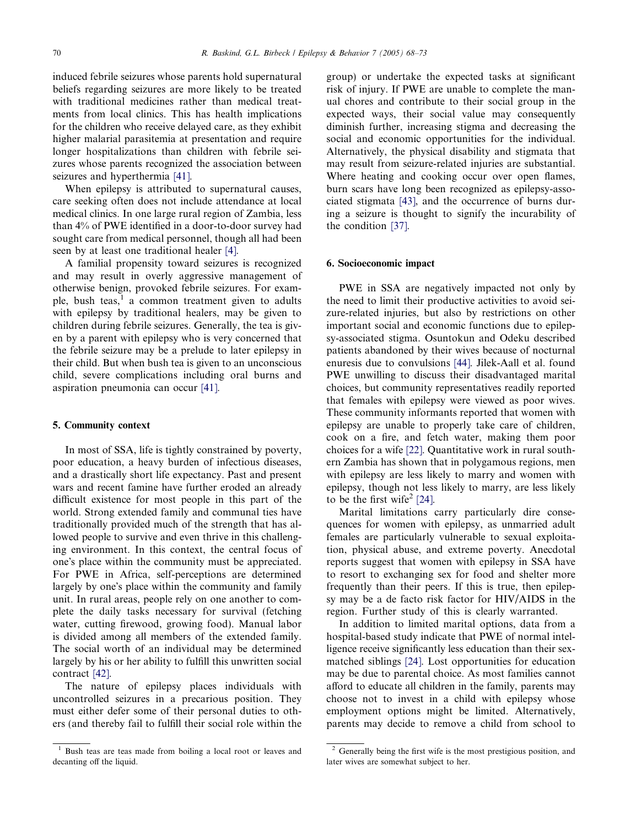induced febrile seizures whose parents hold supernatural beliefs regarding seizures are more likely to be treated with traditional medicines rather than medical treatments from local clinics. This has health implications for the children who receive delayed care, as they exhibit higher malarial parasitemia at presentation and require longer hospitalizations than children with febrile seizures whose parents recognized the association between seizures and hyperthermia [\[41\]](#page-5-0).

When epilepsy is attributed to supernatural causes, care seeking often does not include attendance at local medical clinics. In one large rural region of Zambia, less than 4% of PWE identified in a door-to-door survey had sought care from medical personnel, though all had been seen by at least one traditional healer [\[4\].](#page-4-0)

A familial propensity toward seizures is recognized and may result in overly aggressive management of otherwise benign, provoked febrile seizures. For example, bush teas, $\frac{1}{x}$  a common treatment given to adults with epilepsy by traditional healers, may be given to children during febrile seizures. Generally, the tea is given by a parent with epilepsy who is very concerned that the febrile seizure may be a prelude to later epilepsy in their child. But when bush tea is given to an unconscious child, severe complications including oral burns and aspiration pneumonia can occur [\[41\].](#page-5-0)

#### 5. Community context

In most of SSA, life is tightly constrained by poverty, poor education, a heavy burden of infectious diseases, and a drastically short life expectancy. Past and present wars and recent famine have further eroded an already difficult existence for most people in this part of the world. Strong extended family and communal ties have traditionally provided much of the strength that has allowed people to survive and even thrive in this challenging environment. In this context, the central focus of one's place within the community must be appreciated. For PWE in Africa, self-perceptions are determined largely by one's place within the community and family unit. In rural areas, people rely on one another to complete the daily tasks necessary for survival (fetching water, cutting firewood, growing food). Manual labor is divided among all members of the extended family. The social worth of an individual may be determined largely by his or her ability to fulfill this unwritten social contract [\[42\].](#page-5-0)

The nature of epilepsy places individuals with uncontrolled seizures in a precarious position. They must either defer some of their personal duties to others (and thereby fail to fulfill their social role within the group) or undertake the expected tasks at significant risk of injury. If PWE are unable to complete the manual chores and contribute to their social group in the expected ways, their social value may consequently diminish further, increasing stigma and decreasing the social and economic opportunities for the individual. Alternatively, the physical disability and stigmata that may result from seizure-related injuries are substantial. Where heating and cooking occur over open flames, burn scars have long been recognized as epilepsy-associated stigmata [\[43\],](#page-5-0) and the occurrence of burns during a seizure is thought to signify the incurability of the condition [\[37\].](#page-5-0)

## 6. Socioeconomic impact

PWE in SSA are negatively impacted not only by the need to limit their productive activities to avoid seizure-related injuries, but also by restrictions on other important social and economic functions due to epilepsy-associated stigma. Osuntokun and Odeku described patients abandoned by their wives because of nocturnal enuresis due to convulsions [\[44\]](#page-5-0). Jilek-Aall et al. found PWE unwilling to discuss their disadvantaged marital choices, but community representatives readily reported that females with epilepsy were viewed as poor wives. These community informants reported that women with epilepsy are unable to properly take care of children, cook on a fire, and fetch water, making them poor choices for a wife [\[22\]](#page-4-0). Quantitative work in rural southern Zambia has shown that in polygamous regions, men with epilepsy are less likely to marry and women with epilepsy, though not less likely to marry, are less likely to be the first wife<sup>2</sup> [\[24\]](#page-5-0).

Marital limitations carry particularly dire consequences for women with epilepsy, as unmarried adult females are particularly vulnerable to sexual exploitation, physical abuse, and extreme poverty. Anecdotal reports suggest that women with epilepsy in SSA have to resort to exchanging sex for food and shelter more frequently than their peers. If this is true, then epilepsy may be a de facto risk factor for HIV/AIDS in the region. Further study of this is clearly warranted.

In addition to limited marital options, data from a hospital-based study indicate that PWE of normal intelligence receive significantly less education than their sexmatched siblings [\[24\]](#page-5-0). Lost opportunities for education may be due to parental choice. As most families cannot afford to educate all children in the family, parents may choose not to invest in a child with epilepsy whose employment options might be limited. Alternatively, parents may decide to remove a child from school to

Bush teas are teas made from boiling a local root or leaves and decanting off the liquid.

<sup>&</sup>lt;sup>2</sup> Generally being the first wife is the most prestigious position, and later wives are somewhat subject to her.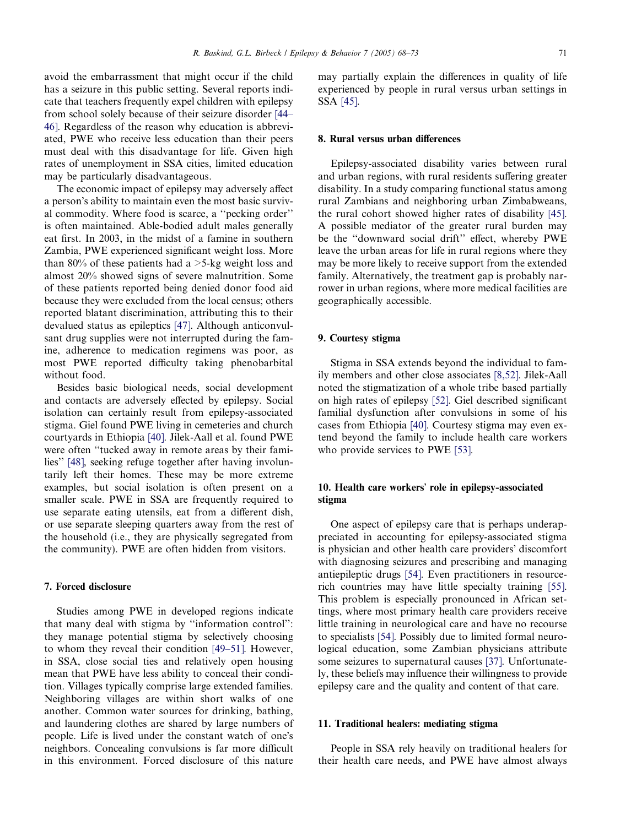avoid the embarrassment that might occur if the child has a seizure in this public setting. Several reports indicate that teachers frequently expel children with epilepsy from school solely because of their seizure disorder [\[44–](#page-5-0) [46\]](#page-5-0). Regardless of the reason why education is abbreviated, PWE who receive less education than their peers must deal with this disadvantage for life. Given high rates of unemployment in SSA cities, limited education may be particularly disadvantageous.

The economic impact of epilepsy may adversely affect a person's ability to maintain even the most basic survival commodity. Where food is scarce, a ''pecking order'' is often maintained. Able-bodied adult males generally eat first. In 2003, in the midst of a famine in southern Zambia, PWE experienced significant weight loss. More than 80% of these patients had a  $>5$ -kg weight loss and almost 20% showed signs of severe malnutrition. Some of these patients reported being denied donor food aid because they were excluded from the local census; others reported blatant discrimination, attributing this to their devalued status as epileptics [\[47\].](#page-5-0) Although anticonvulsant drug supplies were not interrupted during the famine, adherence to medication regimens was poor, as most PWE reported difficulty taking phenobarbital without food.

Besides basic biological needs, social development and contacts are adversely effected by epilepsy. Social isolation can certainly result from epilepsy-associated stigma. Giel found PWE living in cemeteries and church courtyards in Ethiopia [\[40\]](#page-5-0). Jilek-Aall et al. found PWE were often ''tucked away in remote areas by their families'' [\[48\]](#page-5-0), seeking refuge together after having involuntarily left their homes. These may be more extreme examples, but social isolation is often present on a smaller scale. PWE in SSA are frequently required to use separate eating utensils, eat from a different dish, or use separate sleeping quarters away from the rest of the household (i.e., they are physically segregated from the community). PWE are often hidden from visitors.

## 7. Forced disclosure

Studies among PWE in developed regions indicate that many deal with stigma by ''information control'': they manage potential stigma by selectively choosing to whom they reveal their condition [\[49–51\]](#page-5-0). However, in SSA, close social ties and relatively open housing mean that PWE have less ability to conceal their condition. Villages typically comprise large extended families. Neighboring villages are within short walks of one another. Common water sources for drinking, bathing, and laundering clothes are shared by large numbers of people. Life is lived under the constant watch of one's neighbors. Concealing convulsions is far more difficult in this environment. Forced disclosure of this nature

may partially explain the differences in quality of life experienced by people in rural versus urban settings in SSA [\[45\].](#page-5-0)

### 8. Rural versus urban differences

Epilepsy-associated disability varies between rural and urban regions, with rural residents suffering greater disability. In a study comparing functional status among rural Zambians and neighboring urban Zimbabweans, the rural cohort showed higher rates of disability [\[45\].](#page-5-0) A possible mediator of the greater rural burden may be the ''downward social drift'' effect, whereby PWE leave the urban areas for life in rural regions where they may be more likely to receive support from the extended family. Alternatively, the treatment gap is probably narrower in urban regions, where more medical facilities are geographically accessible.

## 9. Courtesy stigma

Stigma in SSA extends beyond the individual to family members and other close associates [\[8,52\].](#page-4-0) Jilek-Aall noted the stigmatization of a whole tribe based partially on high rates of epilepsy [\[52\]](#page-5-0). Giel described significant familial dysfunction after convulsions in some of his cases from Ethiopia [\[40\].](#page-5-0) Courtesy stigma may even extend beyond the family to include health care workers who provide services to PWE [\[53\].](#page-5-0)

## 10. Health care workers' role in epilepsy-associated stigma

One aspect of epilepsy care that is perhaps underappreciated in accounting for epilepsy-associated stigma is physician and other health care providers' discomfort with diagnosing seizures and prescribing and managing antiepileptic drugs [\[54\]](#page-5-0). Even practitioners in resourcerich countries may have little specialty training [\[55\].](#page-5-0) This problem is especially pronounced in African settings, where most primary health care providers receive little training in neurological care and have no recourse to specialists [\[54\]](#page-5-0). Possibly due to limited formal neurological education, some Zambian physicians attribute some seizures to supernatural causes [\[37\].](#page-5-0) Unfortunately, these beliefs may influence their willingness to provide epilepsy care and the quality and content of that care.

#### 11. Traditional healers: mediating stigma

People in SSA rely heavily on traditional healers for their health care needs, and PWE have almost always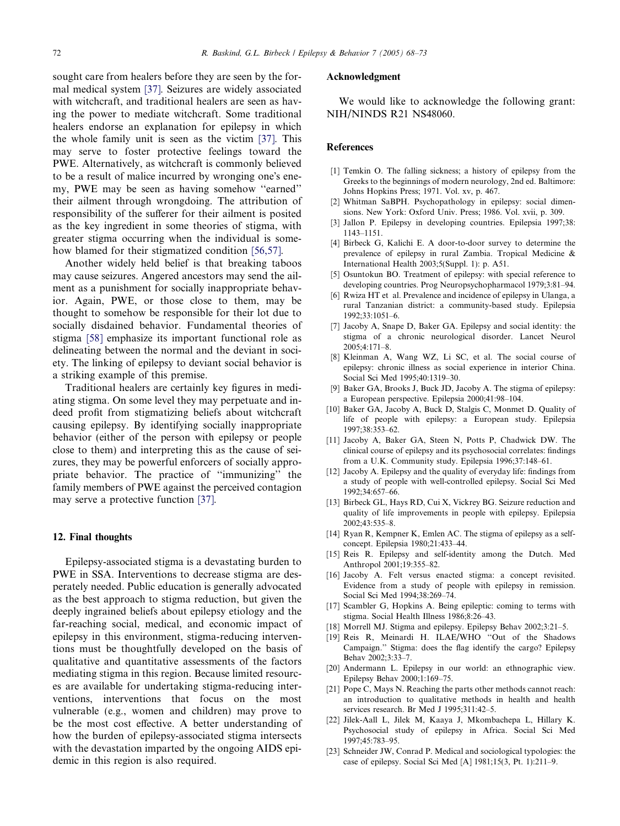<span id="page-4-0"></span>sought care from healers before they are seen by the formal medical system [\[37\]](#page-5-0). Seizures are widely associated with witchcraft, and traditional healers are seen as having the power to mediate witchcraft. Some traditional healers endorse an explanation for epilepsy in which the whole family unit is seen as the victim [\[37\].](#page-5-0) This may serve to foster protective feelings toward the PWE. Alternatively, as witchcraft is commonly believed to be a result of malice incurred by wronging one's enemy, PWE may be seen as having somehow ''earned'' their ailment through wrongdoing. The attribution of responsibility of the sufferer for their ailment is posited as the key ingredient in some theories of stigma, with greater stigma occurring when the individual is somehow blamed for their stigmatized condition [\[56,57\].](#page-5-0)

Another widely held belief is that breaking taboos may cause seizures. Angered ancestors may send the ailment as a punishment for socially inappropriate behavior. Again, PWE, or those close to them, may be thought to somehow be responsible for their lot due to socially disdained behavior. Fundamental theories of stigma [\[58\]](#page-5-0) emphasize its important functional role as delineating between the normal and the deviant in society. The linking of epilepsy to deviant social behavior is a striking example of this premise.

Traditional healers are certainly key figures in mediating stigma. On some level they may perpetuate and indeed profit from stigmatizing beliefs about witchcraft causing epilepsy. By identifying socially inappropriate behavior (either of the person with epilepsy or people close to them) and interpreting this as the cause of seizures, they may be powerful enforcers of socially appropriate behavior. The practice of ''immunizing'' the family members of PWE against the perceived contagion may serve a protective function [\[37\]](#page-5-0).

#### 12. Final thoughts

Epilepsy-associated stigma is a devastating burden to PWE in SSA. Interventions to decrease stigma are desperately needed. Public education is generally advocated as the best approach to stigma reduction, but given the deeply ingrained beliefs about epilepsy etiology and the far-reaching social, medical, and economic impact of epilepsy in this environment, stigma-reducing interventions must be thoughtfully developed on the basis of qualitative and quantitative assessments of the factors mediating stigma in this region. Because limited resources are available for undertaking stigma-reducing interventions, interventions that focus on the most vulnerable (e.g., women and children) may prove to be the most cost effective. A better understanding of how the burden of epilepsy-associated stigma intersects with the devastation imparted by the ongoing AIDS epidemic in this region is also required.

## Acknowledgment

We would like to acknowledge the following grant: NIH/NINDS R21 NS48060.

#### References

- [1] Temkin O. The falling sickness; a history of epilepsy from the Greeks to the beginnings of modern neurology, 2nd ed. Baltimore: Johns Hopkins Press; 1971. Vol. xv, p. 467.
- [2] Whitman SaBPH. Psychopathology in epilepsy: social dimensions. New York: Oxford Univ. Press; 1986. Vol. xvii, p. 309.
- [3] Jallon P. Epilepsy in developing countries. Epilepsia 1997;38: 1143–1151.
- [4] Birbeck G, Kalichi E. A door-to-door survey to determine the prevalence of epilepsy in rural Zambia. Tropical Medicine & International Health 2003;5(Suppl. 1): p. A51.
- [5] Osuntokun BO. Treatment of epilepsy: with special reference to developing countries. Prog Neuropsychopharmacol 1979;3:81–94.
- [6] Rwiza HT et al. Prevalence and incidence of epilepsy in Ulanga, a rural Tanzanian district: a community-based study. Epilepsia 1992;33:1051–6.
- [7] Jacoby A, Snape D, Baker GA. Epilepsy and social identity: the stigma of a chronic neurological disorder. Lancet Neurol  $2005:4:171-8$
- [8] Kleinman A, Wang WZ, Li SC, et al. The social course of epilepsy: chronic illness as social experience in interior China. Social Sci Med 1995;40:1319–30.
- [9] Baker GA, Brooks J, Buck JD, Jacoby A. The stigma of epilepsy: a European perspective. Epilepsia 2000;41:98–104.
- [10] Baker GA, Jacoby A, Buck D, Stalgis C, Monmet D. Quality of life of people with epilepsy: a European study. Epilepsia 1997;38:353–62.
- [11] Jacoby A, Baker GA, Steen N, Potts P, Chadwick DW. The clinical course of epilepsy and its psychosocial correlates: findings from a U.K. Community study. Epilepsia 1996;37:148–61.
- [12] Jacoby A. Epilepsy and the quality of everyday life: findings from a study of people with well-controlled epilepsy. Social Sci Med 1992;34:657–66.
- [13] Birbeck GL, Hays RD, Cui X, Vickrey BG. Seizure reduction and quality of life improvements in people with epilepsy. Epilepsia 2002;43:535–8.
- [14] Ryan R, Kempner K, Emlen AC. The stigma of epilepsy as a selfconcept. Epilepsia 1980;21:433–44.
- [15] Reis R. Epilepsy and self-identity among the Dutch. Med Anthropol 2001;19:355–82.
- [16] Jacoby A. Felt versus enacted stigma: a concept revisited. Evidence from a study of people with epilepsy in remission. Social Sci Med 1994;38:269–74.
- [17] Scambler G, Hopkins A. Being epileptic: coming to terms with stigma. Social Health Illness 1986;8:26–43.
- [18] Morrell MJ. Stigma and epilepsy. Epilepsy Behav 2002;3:21–5.
- [19] Reis R, Meinardi H. ILAE/WHO ''Out of the Shadows Campaign.'' Stigma: does the flag identify the cargo? Epilepsy Behav 2002;3:33–7.
- [20] Andermann L. Epilepsy in our world: an ethnographic view. Epilepsy Behav 2000;1:169–75.
- [21] Pope C, Mays N. Reaching the parts other methods cannot reach: an introduction to qualitative methods in health and health services research. Br Med J 1995;311:42–5.
- [22] Jilek-Aall L, Jilek M, Kaaya J, Mkombachepa L, Hillary K. Psychosocial study of epilepsy in Africa. Social Sci Med 1997;45:783–95.
- [23] Schneider JW, Conrad P. Medical and sociological typologies: the case of epilepsy. Social Sci Med [A] 1981;15(3, Pt. 1):211–9.